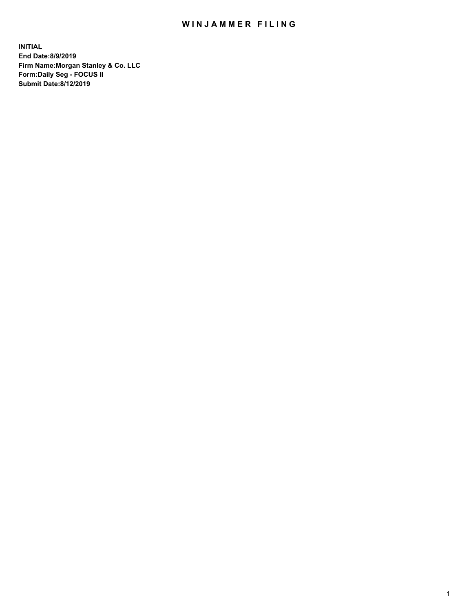## WIN JAMMER FILING

**INITIAL End Date:8/9/2019 Firm Name:Morgan Stanley & Co. LLC Form:Daily Seg - FOCUS II Submit Date:8/12/2019**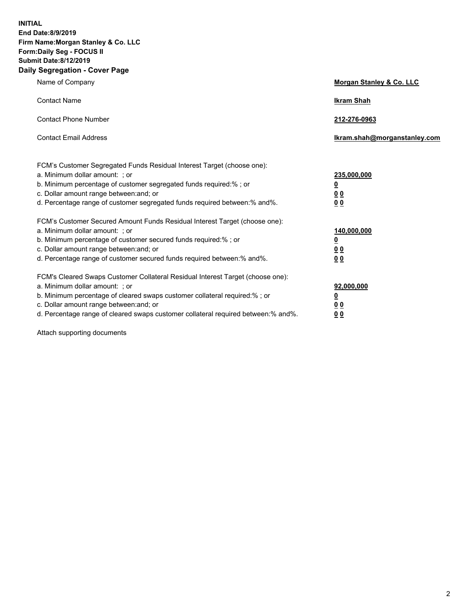**INITIAL End Date:8/9/2019 Firm Name:Morgan Stanley & Co. LLC Form:Daily Seg - FOCUS II Submit Date:8/12/2019 Daily Segregation - Cover Page**

| Name of Company                                                                                                                                                                                                                                                                                                                | Morgan Stanley & Co. LLC                                |  |
|--------------------------------------------------------------------------------------------------------------------------------------------------------------------------------------------------------------------------------------------------------------------------------------------------------------------------------|---------------------------------------------------------|--|
| <b>Contact Name</b>                                                                                                                                                                                                                                                                                                            | <b>Ikram Shah</b>                                       |  |
| <b>Contact Phone Number</b>                                                                                                                                                                                                                                                                                                    | 212-276-0963                                            |  |
| <b>Contact Email Address</b>                                                                                                                                                                                                                                                                                                   | Ikram.shah@morganstanley.com                            |  |
| FCM's Customer Segregated Funds Residual Interest Target (choose one):<br>a. Minimum dollar amount: ; or<br>b. Minimum percentage of customer segregated funds required:% ; or<br>c. Dollar amount range between: and; or<br>d. Percentage range of customer segregated funds required between:% and%.                         | 235,000,000<br><u>0</u><br>0 <sup>0</sup><br>00         |  |
| FCM's Customer Secured Amount Funds Residual Interest Target (choose one):<br>a. Minimum dollar amount: ; or<br>b. Minimum percentage of customer secured funds required:%; or<br>c. Dollar amount range between: and; or<br>d. Percentage range of customer secured funds required between:% and%.                            | 140,000,000<br><u>0</u><br><u>0 0</u><br>0 <sub>0</sub> |  |
| FCM's Cleared Swaps Customer Collateral Residual Interest Target (choose one):<br>a. Minimum dollar amount: ; or<br>b. Minimum percentage of cleared swaps customer collateral required:% ; or<br>c. Dollar amount range between: and; or<br>d. Percentage range of cleared swaps customer collateral required between:% and%. | 92,000,000<br><u>0</u><br><u>00</u><br>0 <sub>0</sub>   |  |

Attach supporting documents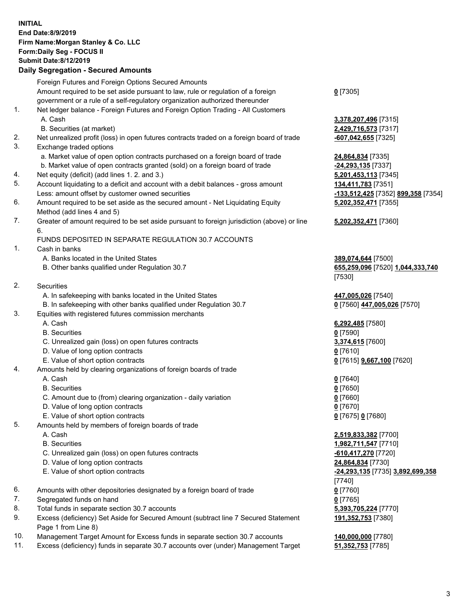## **INITIAL End Date:8/9/2019 Firm Name:Morgan Stanley & Co. LLC Form:Daily Seg - FOCUS II Submit Date:8/12/2019**

**Daily Segregation - Secured Amounts** Foreign Futures and Foreign Options Secured Amounts Amount required to be set aside pursuant to law, rule or regulation of a foreign government or a rule of a self-regulatory organization authorized thereunder 1. Net ledger balance - Foreign Futures and Foreign Option Trading - All Customers A. Cash **3,378,207,496** [7315] B. Securities (at market) **2,429,716,573** [7317] 2. Net unrealized profit (loss) in open futures contracts traded on a foreign board of trade **-607,042,655** [7325] 3. Exchange traded options a. Market value of open option contracts purchased on a foreign board of trade **24,864,834** [7335] b. Market value of open contracts granted (sold) on a foreign board of trade **-24,293,135** [7337] 4. Net equity (deficit) (add lines 1. 2. and 3.) **5,201,453,113** [7345] 5. Account liquidating to a deficit and account with a debit balances - gross amount **134,411,783** [7351] Less: amount offset by customer owned securities **-133,512,425** [7352] **899,358** [7354] 6. Amount required to be set aside as the secured amount - Net Liquidating Equity Method (add lines 4 and 5) 7. Greater of amount required to be set aside pursuant to foreign jurisdiction (above) or line 6. FUNDS DEPOSITED IN SEPARATE REGULATION 30.7 ACCOUNTS 1. Cash in banks A. Banks located in the United States **389,074,644** [7500] B. Other banks qualified under Regulation 30.7 **655,259,096** [7520] **1,044,333,740** 2. Securities A. In safekeeping with banks located in the United States **447,005,026** [7540] B. In safekeeping with other banks qualified under Regulation 30.7 **0** [7560] **447,005,026** [7570] 3. Equities with registered futures commission merchants A. Cash **6,292,485** [7580] B. Securities **0** [7590] C. Unrealized gain (loss) on open futures contracts **3,374,615** [7600] D. Value of long option contracts **0** [7610] E. Value of short option contracts **0** [7615] **9,667,100** [7620] 4. Amounts held by clearing organizations of foreign boards of trade A. Cash **0** [7640] B. Securities **0** [7650] C. Amount due to (from) clearing organization - daily variation **0** [7660] D. Value of long option contracts **0** [7670] E. Value of short option contracts **0** [7675] **0** [7680] 5. Amounts held by members of foreign boards of trade

- 
- 
- C. Unrealized gain (loss) on open futures contracts **-610,417,270** [7720]
- D. Value of long option contracts **24,864,834** [7730]
- 
- 6. Amounts with other depositories designated by a foreign board of trade **0** [7760]
- 7. Segregated funds on hand **0** [7765]
- 8. Total funds in separate section 30.7 accounts **5,393,705,224** [7770]
- 9. Excess (deficiency) Set Aside for Secured Amount (subtract line 7 Secured Statement Page 1 from Line 8)
- 10. Management Target Amount for Excess funds in separate section 30.7 accounts **140,000,000** [7780]
- 11. Excess (deficiency) funds in separate 30.7 accounts over (under) Management Target **51,352,753** [7785]

**0** [7305]

**5,202,352,471** [7355]

## **5,202,352,471** [7360]

[7530]

 A. Cash **2,519,833,382** [7700] B. Securities **1,982,711,547** [7710] E. Value of short option contracts **-24,293,135** [7735] **3,892,699,358** [7740] **191,352,753** [7380]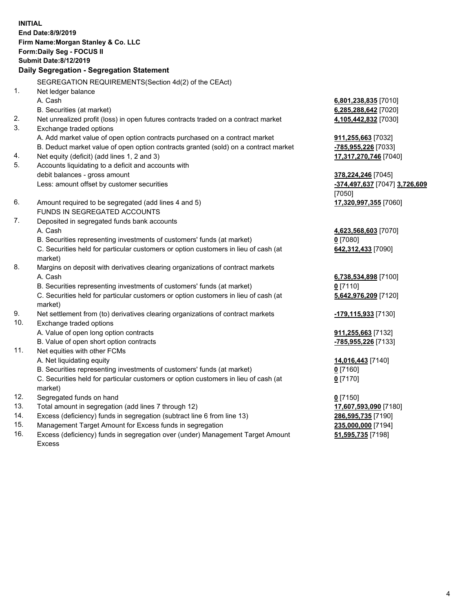**INITIAL End Date:8/9/2019 Firm Name:Morgan Stanley & Co. LLC Form:Daily Seg - FOCUS II Submit Date:8/12/2019 Daily Segregation - Segregation Statement** SEGREGATION REQUIREMENTS(Section 4d(2) of the CEAct) 1. Net ledger balance A. Cash **6,801,238,835** [7010] B. Securities (at market) **6,285,288,642** [7020] 2. Net unrealized profit (loss) in open futures contracts traded on a contract market **4,105,442,832** [7030] 3. Exchange traded options A. Add market value of open option contracts purchased on a contract market **911,255,663** [7032] B. Deduct market value of open option contracts granted (sold) on a contract market **-785,955,226** [7033] 4. Net equity (deficit) (add lines 1, 2 and 3) **17,317,270,746** [7040] 5. Accounts liquidating to a deficit and accounts with debit balances - gross amount **378,224,246** [7045] Less: amount offset by customer securities **-374,497,637** [7047] **3,726,609** [7050] 6. Amount required to be segregated (add lines 4 and 5) **17,320,997,355** [7060] FUNDS IN SEGREGATED ACCOUNTS 7. Deposited in segregated funds bank accounts A. Cash **4,623,568,603** [7070] B. Securities representing investments of customers' funds (at market) **0** [7080] C. Securities held for particular customers or option customers in lieu of cash (at market) **642,312,433** [7090] 8. Margins on deposit with derivatives clearing organizations of contract markets A. Cash **6,738,534,898** [7100] B. Securities representing investments of customers' funds (at market) **0** [7110] C. Securities held for particular customers or option customers in lieu of cash (at market) **5,642,976,209** [7120] 9. Net settlement from (to) derivatives clearing organizations of contract markets **-179,115,933** [7130] 10. Exchange traded options A. Value of open long option contracts **911,255,663** [7132] B. Value of open short option contracts **-785,955,226** [7133] 11. Net equities with other FCMs A. Net liquidating equity **14,016,443** [7140] B. Securities representing investments of customers' funds (at market) **0** [7160] C. Securities held for particular customers or option customers in lieu of cash (at market) **0** [7170] 12. Segregated funds on hand **0** [7150] 13. Total amount in segregation (add lines 7 through 12) **17,607,593,090** [7180] 14. Excess (deficiency) funds in segregation (subtract line 6 from line 13) **286,595,735** [7190]

- 15. Management Target Amount for Excess funds in segregation **235,000,000** [7194]
- 16. Excess (deficiency) funds in segregation over (under) Management Target Amount Excess

**51,595,735** [7198]